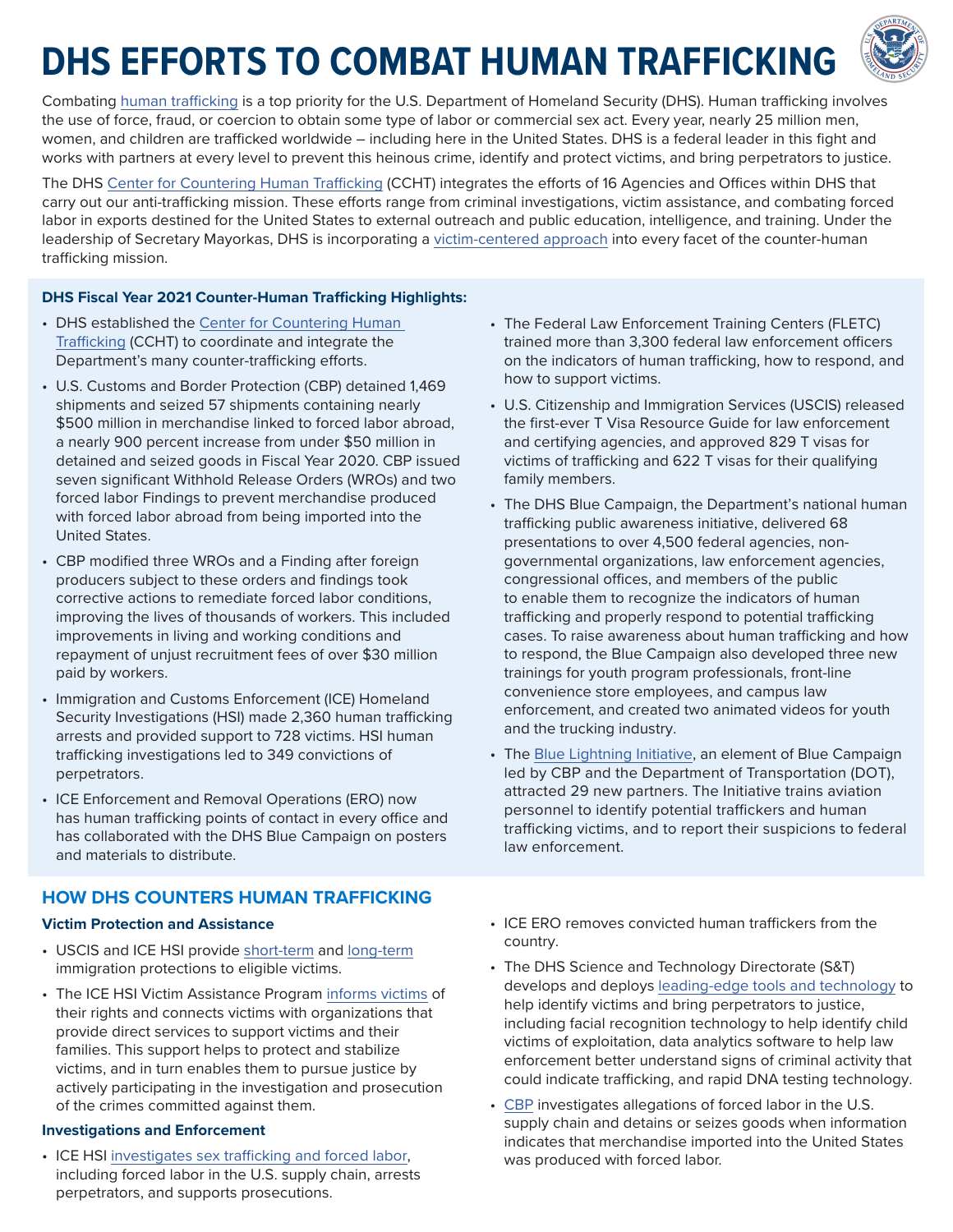# **DHS EFFORTS TO COMBAT HUMAN TRAFFICKING**



Combating [human trafficking](https://www.dhs.gov/sites/default/files/publications/ht_101_one-pager_.pdf) is a top priority for the U.S. Department of Homeland Security (DHS). Human trafficking involves the use of force, fraud, or coercion to obtain some type of labor or commercial sex act. Every year, nearly 25 million men, women, and children are trafficked worldwide – including here in the United States. DHS is a federal leader in this fight and works with partners at every level to prevent this heinous crime, identify and protect victims, and bring perpetrators to justice.

The DHS [Center for Countering Human Trafficking](https://www.dhs.gov/dhs-center-countering-human-trafficking) (CCHT) integrates the efforts of 16 Agencies and Offices within DHS that carry out our anti-trafficking mission. These efforts range from criminal investigations, victim assistance, and combating forced labor in exports destined for the United States to external outreach and public education, intelligence, and training. Under the leadership of Secretary Mayorkas, DHS is incorporating a [victim-centered approach](https://www.dhs.gov/news/2021/10/20/dhs-takes-victim-centered-approach-first-anniversary-center-countering-human) into every facet of the counter-human trafficking mission.

#### **DHS Fiscal Year 2021 Counter-Human Trafficking Highlights:**

- DHS established the [Center for Countering Human](https://www.dhs.gov/dhs-center-countering-human-trafficking) [Trafficking \(CCHT](https://www.dhs.gov/dhs-center-countering-human-trafficking)) to coordinate and integrate the Department's many counter-trafficking efforts.
- U.S. Customs and Border Protection (CBP) detained 1,469 shipments and seized 57 shipments containing nearly \$500 million in merchandise linked to forced labor abroad, a nearly 900 percent increase from under \$50 million in detained and seized goods in Fiscal Year 2020. CBP issued seven significant Withhold Release Orders (WROs) and two forced labor Findings to prevent merchandise produced with forced labor abroad from being imported into the United States.
- CBP modified three WROs and a Finding after foreign producers subject to these orders and findings took corrective actions to remediate forced labor conditions, improving the lives of thousands of workers. This included improvements in living and working conditions and repayment of unjust recruitment fees of over \$30 million paid by workers.
- Immigration and Customs Enforcement (ICE) Homeland Security Investigations (HSI) made 2,360 human trafficking arrests and provided support to 728 victims. HSI human trafficking investigations led to 349 convictions of perpetrators.
- ICE Enforcement and Removal Operations (ERO) now has human trafficking points of contact in every office and has collaborated with the DHS Blue Campaign on posters and materials to distribute.

## **HOW DHS COUNTERS HUMAN TRAFFICKING**

#### **Victim Protection and Assistance**

- USCIS and ICE HSI provide [short-term](https://www.ice.gov/doclib/human-trafficking/pdf/continued-presence.pdf) and [long-term](https://www.dhs.gov/sites/default/files/publications/21_1019_uscis_immigration-benefits-noncitizen-crime-victims_508.pdf) immigration protections to eligible victims.
- The ICE HSI Victim Assistance Program [informs victims](https://www.ice.gov/features/vap) of their rights and connects victims with organizations that provide direct services to support victims and their families. This support helps to protect and stabilize victims, and in turn enables them to pursue justice by actively participating in the investigation and prosecution of the crimes committed against them.

#### **Investigations and Enforcement**

• ICE HSI [investigates sex trafficking and forced labor,](https://www.ice.gov/investigations/human-trafficking) including forced labor in the U.S. supply chain, arrests perpetrators, and supports prosecutions.

- The Federal Law Enforcement Training Centers (FLETC) trained more than 3,300 federal law enforcement officers on the indicators of human trafficking, how to respond, and how to support victims.
- U.S. Citizenship and Immigration Services (USCIS) released the first-ever T Visa Resource Guide for law enforcement and certifying agencies, and approved 829 T visas for victims of trafficking and 622 T visas for their qualifying family members.
- The DHS Blue Campaign, the Department's national human trafficking public awareness initiative, delivered 68 presentations to over 4,500 federal agencies, nongovernmental organizations, law enforcement agencies, congressional offices, and members of the public to enable them to recognize the indicators of human trafficking and properly respond to potential trafficking cases. To raise awareness about human trafficking and how to respond, the Blue Campaign also developed three new trainings for youth program professionals, front-line convenience store employees, and campus law enforcement, and created two animated videos for youth and the trucking industry.
- The [Blue Lightning Initiative](https://www.dhs.gov/blue-campaign/blue-lightning-initiative#:~:text=The%20Blue%20Lightning%20Initiative%20is%20an%20element%20of,to%20report%20their%20suspicions%20to%20federal%20law%20enforcement.), an element of Blue Campaign led by CBP and the Department of Transportation (DOT), attracted 29 new partners. The Initiative trains aviation personnel to identify potential traffickers and human trafficking victims, and to report their suspicions to federal law enforcement.
- ICE ERO removes convicted human traffickers from the country.
- The DHS Science and Technology Directorate (S&T) develops and deploys [leading-edge tools and technology](https://www.dhs.gov/science-and-technology/news/2019/01/30/st-combatting-human-trafficking-using-social-science) to help identify victims and bring perpetrators to justice, including facial recognition technology to help identify child victims of exploitation, data analytics software to help law enforcement better understand signs of criminal activity that could indicate trafficking, and rapid DNA testing technology.
- [CBP](https://www.cbp.gov/trade/forced-labor) investigates allegations of forced labor in the U.S. supply chain and detains or seizes goods when information indicates that merchandise imported into the United States was produced with forced labor.